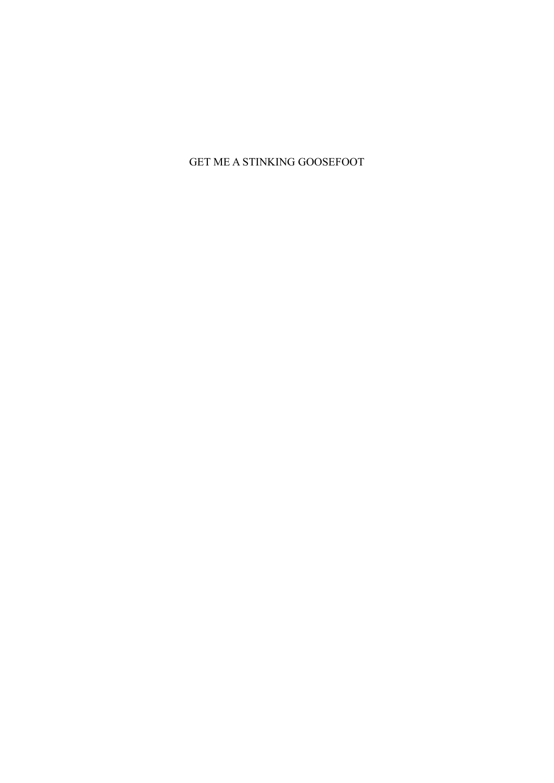GET ME A STINKING GOOSEFOOT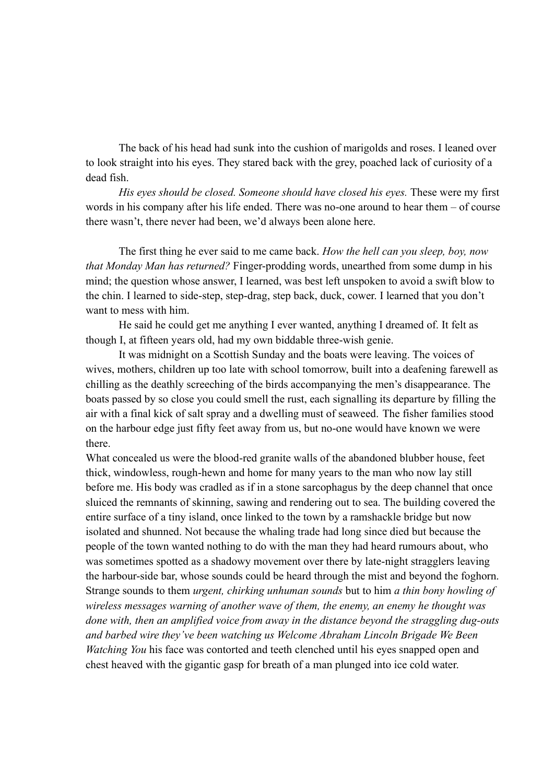The back of his head had sunk into the cushion of marigolds and roses. I leaned over to look straight into his eyes. They stared back with the grey, poached lack of curiosity of a dead fish.

*His eyes should be closed. Someone should have closed his eyes.* These were my first words in his company after his life ended. There was no-one around to hear them – of course there wasn't, there never had been, we'd always been alone here.

The first thing he ever said to me came back. *How the hell can you sleep, boy, now that Monday Man has returned?* Finger-prodding words, unearthed from some dump in his mind; the question whose answer, I learned, was best left unspoken to avoid a swift blow to the chin. I learned to side-step, step-drag, step back, duck, cower. I learned that you don't want to mess with him.

He said he could get me anything I ever wanted, anything I dreamed of. It felt as though I, at fifteen years old, had my own biddable three-wish genie.

It was midnight on a Scottish Sunday and the boats were leaving. The voices of wives, mothers, children up too late with school tomorrow, built into a deafening farewell as chilling as the deathly screeching of the birds accompanying the men's disappearance. The boats passed by so close you could smell the rust, each signalling its departure by filling the air with a final kick of salt spray and a dwelling must of seaweed. The fisher families stood on the harbour edge just fifty feet away from us, but no-one would have known we were there.

What concealed us were the blood-red granite walls of the abandoned blubber house, feet thick, windowless, rough-hewn and home for many years to the man who now lay still before me. His body was cradled as if in a stone sarcophagus by the deep channel that once sluiced the remnants of skinning, sawing and rendering out to sea. The building covered the entire surface of a tiny island, once linked to the town by a ramshackle bridge but now isolated and shunned. Not because the whaling trade had long since died but because the people of the town wanted nothing to do with the man they had heard rumours about, who was sometimes spotted as a shadowy movement over there by late-night stragglers leaving the harbour-side bar, whose sounds could be heard through the mist and beyond the foghorn. Strange sounds to them *urgent, chirking unhuman sounds* but to him *a thin bony howling of wireless messages warning of another wave of them, the enemy, an enemy he thought was done with, then an amplified voice from away in the distance beyond the straggling dug-outs and barbed wire they've been watching us Welcome Abraham Lincoln Brigade We Been Watching You* his face was contorted and teeth clenched until his eyes snapped open and chest heaved with the gigantic gasp for breath of a man plunged into ice cold water.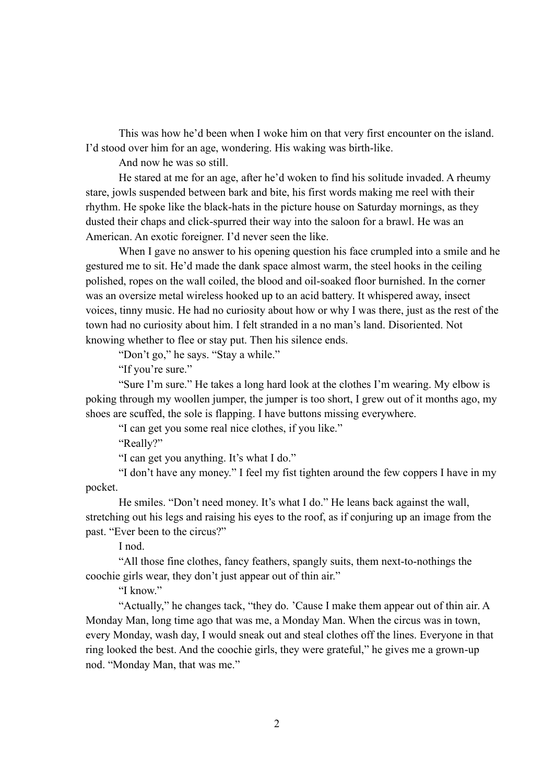This was how he'd been when I woke him on that very first encounter on the island. I'd stood over him for an age, wondering. His waking was birth-like.

And now he was so still.

He stared at me for an age, after he'd woken to find his solitude invaded. A rheumy stare, jowls suspended between bark and bite, his first words making me reel with their rhythm. He spoke like the black-hats in the picture house on Saturday mornings, as they dusted their chaps and click-spurred their way into the saloon for a brawl. He was an American. An exotic foreigner. I'd never seen the like.

When I gave no answer to his opening question his face crumpled into a smile and he gestured me to sit. He'd made the dank space almost warm, the steel hooks in the ceiling polished, ropes on the wall coiled, the blood and oil-soaked floor burnished. In the corner was an oversize metal wireless hooked up to an acid battery. It whispered away, insect voices, tinny music. He had no curiosity about how or why I was there, just as the rest of the town had no curiosity about him. I felt stranded in a no man's land. Disoriented. Not knowing whether to flee or stay put. Then his silence ends.

"Don't go," he says. "Stay a while."

"If you're sure."

"Sure I'm sure." He takes a long hard look at the clothes I'm wearing. My elbow is poking through my woollen jumper, the jumper is too short, I grew out of it months ago, my shoes are scuffed, the sole is flapping. I have buttons missing everywhere.

"I can get you some real nice clothes, if you like."

"Really?"

"I can get you anything. It's what I do."

"I don't have any money." I feel my fist tighten around the few coppers I have in my pocket.

He smiles. "Don't need money. It's what I do." He leans back against the wall, stretching out his legs and raising his eyes to the roof, as if conjuring up an image from the past. "Ever been to the circus?"

I nod.

"All those fine clothes, fancy feathers, spangly suits, them next-to-nothings the coochie girls wear, they don't just appear out of thin air."

"I know."

"Actually," he changes tack, "they do. 'Cause I make them appear out of thin air. A Monday Man, long time ago that was me, a Monday Man. When the circus was in town, every Monday, wash day, I would sneak out and steal clothes off the lines. Everyone in that ring looked the best. And the coochie girls, they were grateful," he gives me a grown-up nod. "Monday Man, that was me."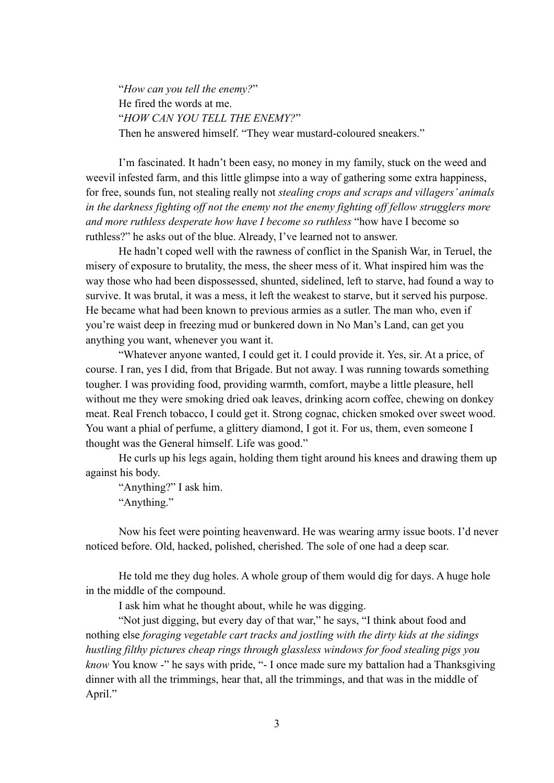"*How can you tell the enemy?*" He fired the words at me. "*HOW CAN YOU TELL THE ENEMY?*" Then he answered himself. "They wear mustard-coloured sneakers."

I'm fascinated. It hadn't been easy, no money in my family, stuck on the weed and weevil infested farm, and this little glimpse into a way of gathering some extra happiness, for free, sounds fun, not stealing really not *stealing crops and scraps and villagers' animals in the darkness fighting off not the enemy not the enemy fighting off fellow strugglers more and more ruthless desperate how have I become so ruthless* "how have I become so ruthless?" he asks out of the blue. Already, I've learned not to answer.

He hadn't coped well with the rawness of conflict in the Spanish War, in Teruel, the misery of exposure to brutality, the mess, the sheer mess of it. What inspired him was the way those who had been dispossessed, shunted, sidelined, left to starve, had found a way to survive. It was brutal, it was a mess, it left the weakest to starve, but it served his purpose. He became what had been known to previous armies as a sutler. The man who, even if you're waist deep in freezing mud or bunkered down in No Man's Land, can get you anything you want, whenever you want it.

"Whatever anyone wanted, I could get it. I could provide it. Yes, sir. At a price, of course. I ran, yes I did, from that Brigade. But not away. I was running towards something tougher. I was providing food, providing warmth, comfort, maybe a little pleasure, hell without me they were smoking dried oak leaves, drinking acorn coffee, chewing on donkey meat. Real French tobacco, I could get it. Strong cognac, chicken smoked over sweet wood. You want a phial of perfume, a glittery diamond, I got it. For us, them, even someone I thought was the General himself. Life was good."

He curls up his legs again, holding them tight around his knees and drawing them up against his body.

"Anything?" I ask him. "Anything."

Now his feet were pointing heavenward. He was wearing army issue boots. I'd never noticed before. Old, hacked, polished, cherished. The sole of one had a deep scar.

He told me they dug holes. A whole group of them would dig for days. A huge hole in the middle of the compound.

I ask him what he thought about, while he was digging.

"Not just digging, but every day of that war," he says, "I think about food and nothing else *foraging vegetable cart tracks and jostling with the dirty kids at the sidings hustling filthy pictures cheap rings through glassless windows for food stealing pigs you know* You know -" he says with pride, "- I once made sure my battalion had a Thanksgiving dinner with all the trimmings, hear that, all the trimmings, and that was in the middle of April."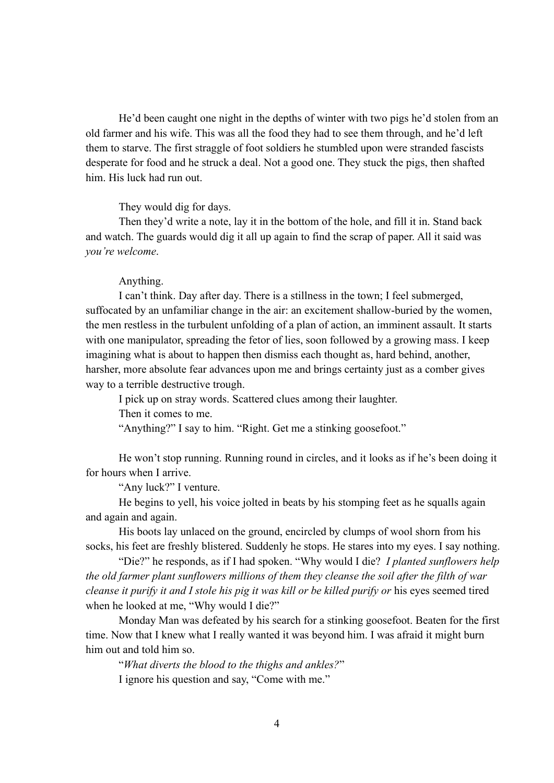He'd been caught one night in the depths of winter with two pigs he'd stolen from an old farmer and his wife. This was all the food they had to see them through, and he'd left them to starve. The first straggle of foot soldiers he stumbled upon were stranded fascists desperate for food and he struck a deal. Not a good one. They stuck the pigs, then shafted him. His luck had run out.

They would dig for days.

Then they'd write a note, lay it in the bottom of the hole, and fill it in. Stand back and watch. The guards would dig it all up again to find the scrap of paper. All it said was *you're welcome*.

## Anything.

I can't think. Day after day. There is a stillness in the town; I feel submerged, suffocated by an unfamiliar change in the air: an excitement shallow-buried by the women, the men restless in the turbulent unfolding of a plan of action, an imminent assault. It starts with one manipulator, spreading the fetor of lies, soon followed by a growing mass. I keep imagining what is about to happen then dismiss each thought as, hard behind, another, harsher, more absolute fear advances upon me and brings certainty just as a comber gives way to a terrible destructive trough.

I pick up on stray words. Scattered clues among their laughter.

Then it comes to me.

"Anything?" I say to him. "Right. Get me a stinking goosefoot."

He won't stop running. Running round in circles, and it looks as if he's been doing it for hours when I arrive.

"Any luck?" I venture.

He begins to yell, his voice jolted in beats by his stomping feet as he squalls again and again and again.

His boots lay unlaced on the ground, encircled by clumps of wool shorn from his socks, his feet are freshly blistered. Suddenly he stops. He stares into my eyes. I say nothing.

"Die?" he responds, as if I had spoken. "Why would I die? *I planted sunflowers help the old farmer plant sunflowers millions of them they cleanse the soil after the filth of war cleanse it purify it and I stole his pig it was kill or be killed purify or* his eyes seemed tired when he looked at me, "Why would I die?"

Monday Man was defeated by his search for a stinking goosefoot. Beaten for the first time. Now that I knew what I really wanted it was beyond him. I was afraid it might burn him out and told him so.

"*What diverts the blood to the thighs and ankles?*" I ignore his question and say, "Come with me."